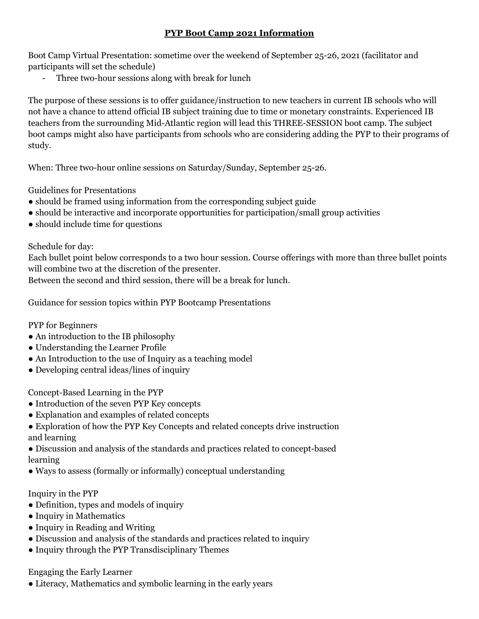## **PYP Boot Camp 2021 Information**

Boot Camp Virtual Presentation: sometime over the weekend of September 25-26, 2021 (facilitator and participants will set the schedule)

- Three two-hour sessions along with break for lunch

The purpose of these sessions is to offer guidance/instruction to new teachers in current IB schools who will not have a chance to attend official IB subject training due to time or monetary constraints. Experienced IB teachers from the surrounding Mid-Atlantic region will lead this THREE-SESSION boot camp. The subject boot camps might also have participants from schools who are considering adding the PYP to their programs of study.

When: Three two-hour online sessions on Saturday/Sunday, September 25-26.

Guidelines for Presentations

- should be framed using information from the corresponding subject guide
- should be interactive and incorporate opportunities for participation/small group activities
- should include time for questions

Schedule for day:

Each bullet point below corresponds to a two hour session. Course offerings with more than three bullet points will combine two at the discretion of the presenter.

Between the second and third session, there will be a break for lunch.

Guidance for session topics within PYP Bootcamp Presentations

PYP for Beginners

- An introduction to the IB philosophy
- Understanding the Learner Profile
- An Introduction to the use of Inquiry as a teaching model
- Developing central ideas/lines of inquiry

Concept-Based Learning in the PYP

- Introduction of the seven PYP Key concepts
- Explanation and examples of related concepts
- Exploration of how the PYP Key Concepts and related concepts drive instruction and learning
- Discussion and analysis of the standards and practices related to concept-based learning
- Ways to assess (formally or informally) conceptual understanding

## Inquiry in the PYP

- Definition, types and models of inquiry
- Inquiry in Mathematics
- Inquiry in Reading and Writing
- Discussion and analysis of the standards and practices related to inquiry
- Inquiry through the PYP Transdisciplinary Themes

Engaging the Early Learner

• Literacy, Mathematics and symbolic learning in the early years